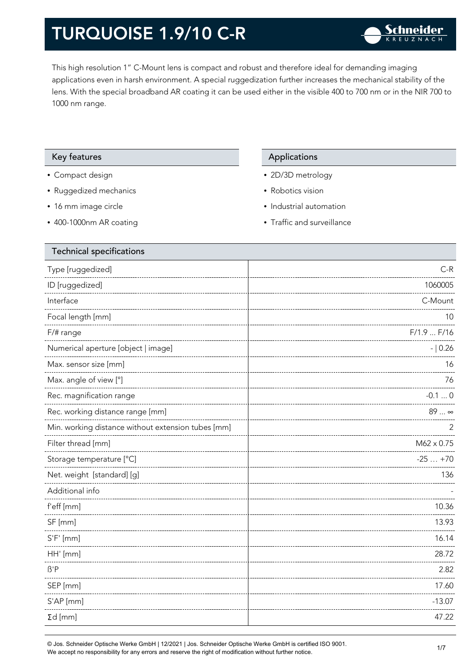This high resolution 1" C-Mount lens is compact and robust and therefore ideal for demanding imaging applications even in harsh environment. A special ruggedization further increases the mechanical stability of the lens. With the special broadband AR coating it can be used either in the visible 400 to 700 nm or in the NIR 700 to 1000 nm range.

#### Key features **Applications** Applications

- Compact design
- Ruggedized mechanics
- 16 mm image circle
- 400-1000nm AR coating

- 2D/3D metrology
- Robotics vision
- Industrial automation
- Traffic and surveillance

| <b>Technical specifications</b>                    |            |
|----------------------------------------------------|------------|
| Type [ruggedized]                                  | $C-R$      |
| ID [ruggedized]                                    | 1060005    |
| Interface                                          | C-Mount    |
| Focal length [mm]                                  | 10         |
| F/# range                                          | F/1.9 F/16 |
| Numerical aperture [object   image]                | $- 0.26$   |
| Max. sensor size [mm]                              | 16         |
| Max. angle of view [°]                             | 76         |
| Rec. magnification range                           | $-0.10$    |
| Rec. working distance range [mm]                   | 89  ∞      |
| Min. working distance without extension tubes [mm] | 2          |
| Filter thread [mm]                                 | M62 x 0.75 |
| Storage temperature [°C]                           | $-25+70$   |
| Net. weight [standard] [g]                         | 136        |
| Additional info                                    |            |
| f'eff [mm]                                         | 10.36      |
| SF [mm]                                            | 13.93      |
| $S'F'$ [mm]                                        | 16.14      |
| HH' [mm]                                           | 28.72      |
| $\beta$ 'P                                         | 2.82       |
| SEP [mm]                                           | 17.60      |
| S'AP [mm]                                          | $-13.07$   |
| $\Sigma d$ [mm]                                    | 47.22      |
|                                                    |            |

© Jos. Schneider Optische Werke GmbH | 12/2021 | Jos. Schneider Optische Werke GmbH is certified ISO 9001. We accept no responsibility for any errors and reserve the right of modification without further notice.<br>We accept no responsibility for any errors and reserve the right of modification without further notice.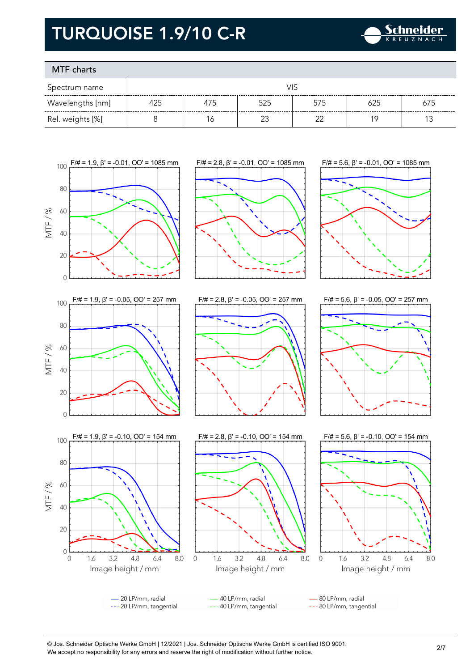

### MTF charts

| Spectrum name    | VIS |     |     |     |     |     |
|------------------|-----|-----|-----|-----|-----|-----|
| Wavelengths [nm] | 425 | 4/5 | 525 | 575 |     | 675 |
| Rel. weights [%] |     | Ó   |     |     | 1 C |     |



© Jos. Schneider Optische Werke GmbH | 12/2021 | Jos. Schneider Optische Werke GmbH is certified ISO 9001. We accept no responsibility for any errors and reserve the right of modification without further notice.<br>We accept no responsibility for any errors and reserve the right of modification without further notice.

4.8

 $6.4$ 

8.0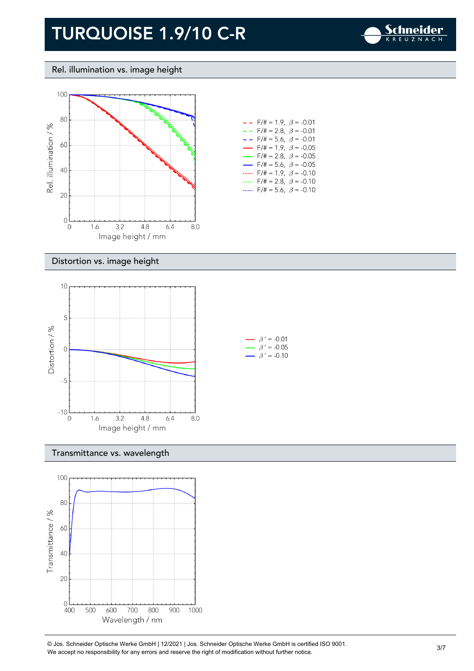

#### Rel. illumination vs. image height



| $F/\# = 1.9, \ \ \beta = -0.01$<br>$- -$  |  |
|-------------------------------------------|--|
| $- -$ F/# = 2.8, $\beta$ = -0.01          |  |
| $- -$ F/# = 5.6, $\beta$ = -0.01          |  |
| $\rightarrow$ F/# = 1.9, $\beta$ = -0.05  |  |
| $\rightarrow$ F/# = 2.8, $\beta$ = -0.05  |  |
| $\rightarrow$ F/# = 5.6, $\beta$ = -0.05  |  |
| F/# = 1.9, $\beta$ = -0.10                |  |
| $F/\ddot{=} = 2.8, \ \ \beta = -0.10$<br> |  |
| $F/\ddot{=} = 5.6$ , $\beta = -0.10$      |  |

#### Distortion vs. image height



#### Transmittance vs. wavelength



© Jos. Schneider Optische Werke GmbH | 12/2021 | Jos. Schneider Optische Werke GmbH is certified ISO 9001. We accept no responsibility for any errors and reserve the right of modification without further notice.<br>We accept no responsibility for any errors and reserve the right of modification without further notice.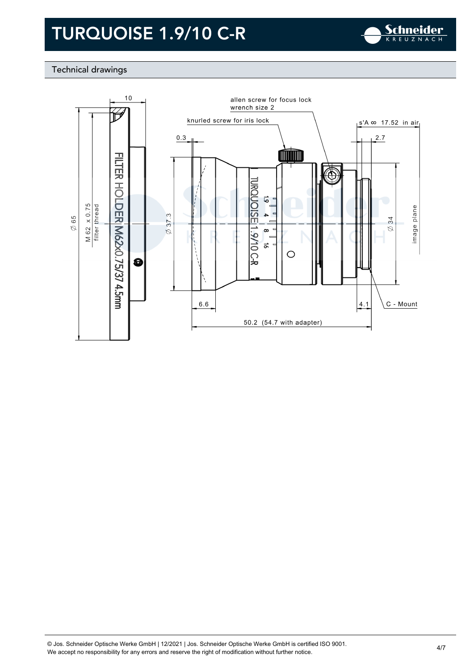

### Technical drawings

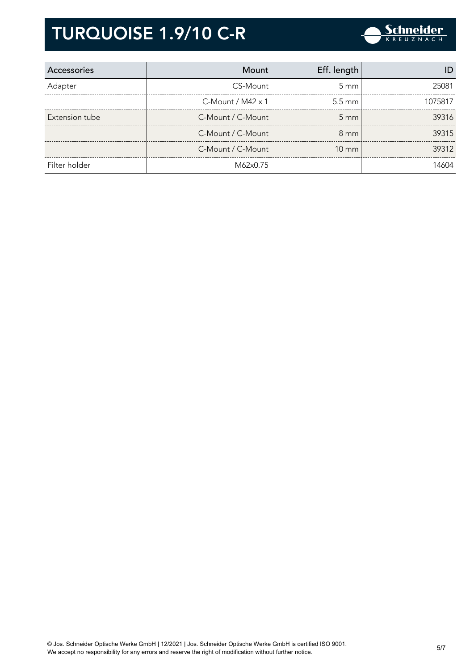

| <b>Accessories</b> | Mount                | Eff. length       |         |
|--------------------|----------------------|-------------------|---------|
| Adapter            | CS-Mount             | $5 \text{ mm}$    | 25081   |
|                    | $C$ -Mount / M42 x 1 | $5.5 \text{ mm}$  | 1075817 |
| Extension tube     | C-Mount / C-Mount    | $5 \, \text{mm}$  | 39316   |
|                    | C-Mount / C-Mount    | $8 \text{ mm}$    | 39315   |
|                    | C-Mount / C-Mount    | $10 \, \text{mm}$ | 39312   |
| Filter holder      | M62x0.75             |                   | 14604   |